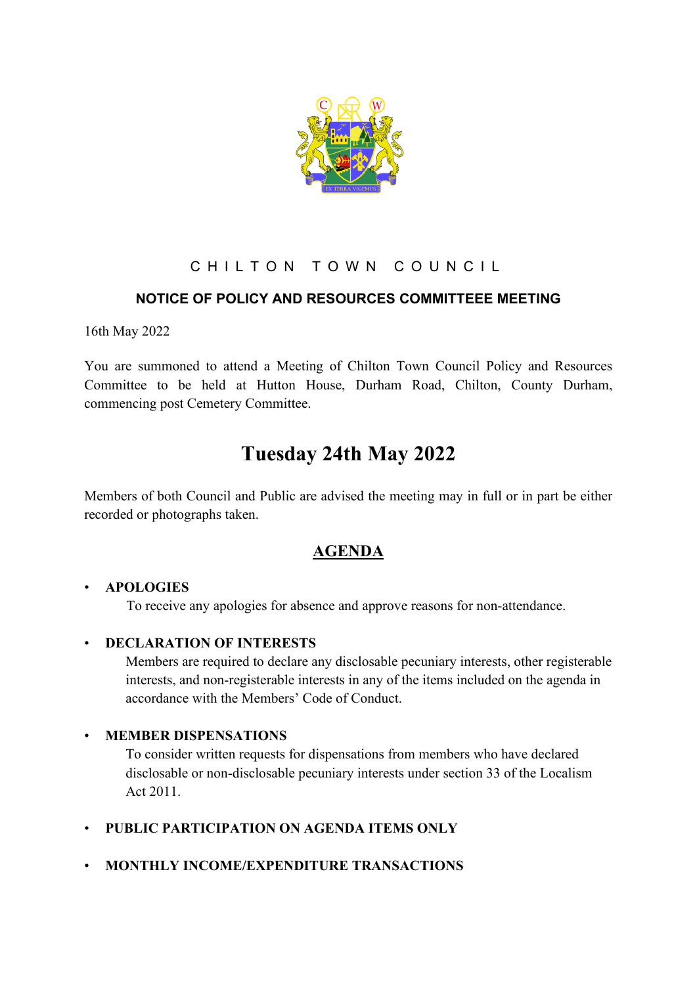

## CHILTON TOWN COUNCIL

### **NOTICE OF POLICY AND RESOURCES COMMITTEEE MEETING**

16th May 2022

You are summoned to attend a Meeting of Chilton Town Council Policy and Resources Committee to be held at Hutton House, Durham Road, Chilton, County Durham, commencing post Cemetery Committee.

# **Tuesday 24th May 2022**

Members of both Council and Public are advised the meeting may in full or in part be either recorded or photographs taken.

## **AGENDA**

#### • **APOLOGIES**

To receive any apologies for absence and approve reasons for non-attendance.

#### • **DECLARATION OF INTERESTS**

Members are required to declare any disclosable pecuniary interests, other registerable interests, and non-registerable interests in any of the items included on the agenda in accordance with the Members' Code of Conduct.

#### • **MEMBER DISPENSATIONS**

To consider written requests for dispensations from members who have declared disclosable or non-disclosable pecuniary interests under section 33 of the Localism Act 2011.

- **PUBLIC PARTICIPATION ON AGENDA ITEMS ONLY**
- **MONTHLY INCOME/EXPENDITURE TRANSACTIONS**